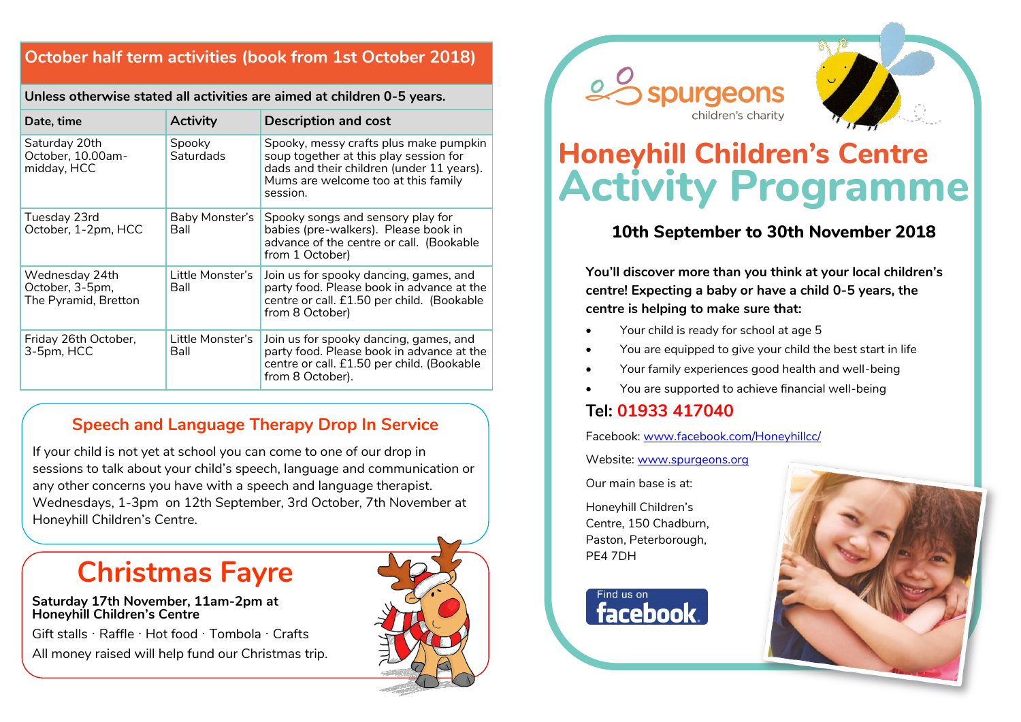## **October half term activities (book from 1st October 2018)**

**Unless otherwise stated all activities are aimed at children 0-5 years.** 

| Date, time                                                | <b>Activity</b>               | <b>Description and cost</b>                                                                                                                                                      |
|-----------------------------------------------------------|-------------------------------|----------------------------------------------------------------------------------------------------------------------------------------------------------------------------------|
| Saturday 20th<br>October, 10.00am-<br>midday, HCC         | Spooky<br>Saturdads           | Spooky, messy crafts plus make pumpkin<br>soup together at this play session for<br>dads and their children (under 11 years).<br>Mums are welcome too at this family<br>session. |
| Tuesday 23rd<br>October, 1-2pm, HCC                       | Baby Monster's<br><b>Ball</b> | Spooky songs and sensory play for<br>babies (pre-walkers). Please book in<br>advance of the centre or call. (Bookable<br>from 1 October)                                         |
| Wednesday 24th<br>October, 3-5pm,<br>The Pyramid, Bretton | Little Monster's<br>Ball      | Join us for spooky dancing, games, and<br>party food. Please book in advance at the<br>centre or call. £1.50 per child. (Bookable<br>from 8 October)                             |
| Friday 26th October,<br>3-5pm, HCC                        | Little Monster's<br>Ball      | Join us for spooky dancing, games, and<br>party food. Please book in advance at the<br>centre or call. £1.50 per child. (Bookable<br>from 8 October).                            |

### **Speech and Language Therapy Drop In Service**

If your child is not yet at school you can come to one of our drop in sessions to talk about your child's speech, language and communication or any other concerns you have with a speech and language therapist. Wednesdays, 1-3pm on 12th September, 3rd October, 7th November at Honeyhill Children's Centre.

## **Christmas Fayre**

#### **Saturday 17th November, 11am-2pm at Honeyhill Children's Centre**

Gift stalls · Raffle · Hot food · Tombola · Crafts

All money raised will help fund our Christmas trip.







# **Honeyhill Children's Centre Activity Programme**

## **10th September to 30th November 2018**

**You'll discover more than you think at your local children's centre! Expecting a baby or have a child 0-5 years, the centre is helping to make sure that:**

- Your child is ready for school at age 5
- You are equipped to give your child the best start in life
- Your family experiences good health and well-being
- You are supported to achieve financial well-being

## **Tel: 01933 417040**

Facebook: [www.facebook.com/Honeyhillcc/](http://www.facebook.com/OrtonChildrensCentre/)

Website: [www.spurgeons.org](http://www.ortoncc.com)

Our main base is at:

Honeyhill Children's Centre, 150 Chadburn, Paston, Peterborough, PE4 7DH

Find us on facebook.